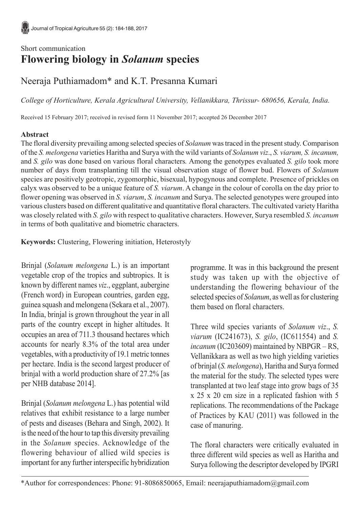## Short communication **Flowering biology in** *Solanum* **species**

# Neeraja Puthiamadom\* and K.T. Presanna Kumari

*College of Horticulture, Kerala Agricultural University, Vellanikkara, Thrissur- 680656, Kerala, India.*

Received 15 February 2017; received in revised form 11 November 2017; accepted 26 December 2017

### **Abstract**

The floral diversity prevailing among selected species of *Solanum* was traced in the present study. Comparison of the *S. melongena* varieties Haritha and Surya with the wild variants of *Solanum viz*., *S. viarum, S. incanum,* and *S. gilo* was done based on various floral characters*.* Among the genotypes evaluated *S. gilo* took more number of days from transplanting till the visual observation stage of flower bud. Flowers of *Solanum* species are positively geotropic, zygomorphic, bisexual, hypogynous and complete. Presence of prickles on calyx was observed to be a unique feature of *S. viarum*. A change in the colour of corolla on the day prior to flower opening was observed in *S. viarum*, *S. incanum* and Surya. The selected genotypes were grouped into various clusters based on different qualitative and quantitative floral characters. The cultivated variety Haritha was closely related with *S. gilo* with respect to qualitative characters. However, Surya resembled *S. incanum* in terms of both qualitative and biometric characters.

**Keywords:** Clustering, Flowering initiation, Heterostyly

Brinjal (*Solanum melongena* L.) is an important vegetable crop of the tropics and subtropics. It is known by different names *viz*., eggplant, aubergine (French word) in European countries, garden egg, guinea squash and melongena (Sekara et al., 2007). In India, brinjal is grown throughout the year in all parts of the country except in higher altitudes. It occupies an area of 711.3 thousand hectares which accounts for nearly 8.3% of the total area under vegetables, with a productivity of 19.1 metric tonnes per hectare. India is the second largest producer of brinjal with a world production share of 27.2% [as per NHB database 2014].

Brinjal (*Solanum melongena* L.) has potential wild relatives that exhibit resistance to a large number of pests and diseases (Behara and Singh, 2002). It is the need of the hour to tap this diversity prevailing in the *Solanum* species. Acknowledge of the flowering behaviour of allied wild species is important for any further interspecific hybridization programme. It was in this background the present study was taken up with the objective of understanding the flowering behaviour of the selected species of *Solanum*, as well as for clustering them based on floral characters.

Three wild species variants of *Solanum viz*., *S. viarum* (IC241673), *S. gilo*, (IC611554) and *S. incanum* (IC203609) maintained by NBPGR – RS, Vellanikkara as well as two high yielding varieties of brinjal (*S. melongena*), Haritha and Surya formed the material for the study. The selected types were transplanted at two leaf stage into grow bags of 35 x 25 x 20 cm size in a replicated fashion with 5 replications. The recommendations of the Package of Practices by KAU (2011) was followed in the case of manuring.

The floral characters were critically evaluated in three different wild species as well as Haritha and Surya following the descriptor developed by IPGRI

<sup>\*</sup>Author for correspondences: Phone: 91-8086850065, Email: neerajaputhiamadom@gmail.com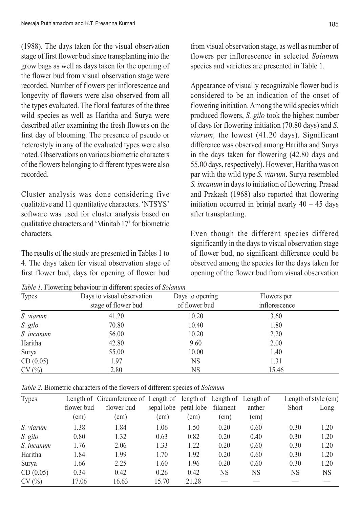(1988). The days taken for the visual observation stage of first flower bud since transplanting into the grow bags as well as days taken for the opening of the flower bud from visual observation stage were recorded. Number of flowers per inflorescence and longevity of flowers were also observed from all the types evaluated. The floral features of the three wild species as well as Haritha and Surya were described after examining the fresh flowers on the first day of blooming. The presence of pseudo or heterostyly in any of the evaluated types were also noted. Observations on various biometric characters of the flowers belonging to different types were also recorded.

Cluster analysis was done considering five qualitative and 11 quantitative characters. 'NTSYS' software was used for cluster analysis based on qualitative characters and 'Minitab 17' for biometric characters.

The results of the study are presented in Tables 1 to 4. The days taken for visual observation stage of first flower bud, days for opening of flower bud

*Table 1.* Flowering behaviour in different species of *Solanum*

from visual observation stage, as well as number of flowers per inflorescence in selected *Solanum* species and varieties are presented in Table 1.

Appearance of visually recognizable flower bud is considered to be an indication of the onset of flowering initiation. Among the wild species which produced flowers, *S. gilo* took the highest number of days for flowering initiation (70.80 days) and *S. viarum,* the lowest (41.20 days). Significant difference was observed among Haritha and Surya in the days taken for flowering (42.80 days and 55.00 days, respectively). However, Haritha was on par with the wild type *S. viarum*. Surya resembled *S. incanum* in days to initiation of flowering. Prasad and Prakash (1968) also reported that flowering initiation occurred in brinjal nearly  $40 - 45$  days after transplanting.

Even though the different species differed significantly in the days to visual observation stage of flower bud, no significant difference could be observed among the species for the days taken for opening of the flower bud from visual observation

| <b>Types</b> | Days to visual observation | Days to opening | Flowers per   |  |
|--------------|----------------------------|-----------------|---------------|--|
|              | stage of flower bud        | of flower bud   | inflorescence |  |
| S. viarum    | 41.20                      | 10.20           | 3.60          |  |
| S. gilo      | 70.80                      | 10.40           | 1.80          |  |
| S. incanum   | 56.00                      | 10.20           | 2.20          |  |
| Haritha      | 42.80                      | 9.60            | 2.00          |  |
| Surya        | 55.00                      | 10.00           | 1.40          |  |
| CD(0.05)     | 1.97                       | NS.             | 1.31          |  |
| CV(%)        | 2.80                       | NS              | 15.46         |  |

*Table 2.* Biometric characters of the flowers of different species of *Solanum*

| <b>Types</b> |               | Length of Circumference of Length of length of Length of Length of |             |                       |          |               | Length of style (cm) |      |
|--------------|---------------|--------------------------------------------------------------------|-------------|-----------------------|----------|---------------|----------------------|------|
|              | flower bud    | flower bud                                                         |             | sepal lobe petal lobe | filament | anther        | Short                | Long |
|              | $\text{cm}$ ) | (cm)                                                               | $\text{cm}$ | $\text{cm}$ )         | (cm)     | $\text{(cm)}$ |                      |      |
| S. viarum    | 1.38          | 1.84                                                               | 1.06        | 1.50                  | 0.20     | 0.60          | 0.30                 | 1.20 |
| S. gilo      | 0.80          | 1.32                                                               | 0.63        | 0.82                  | 0.20     | 0.40          | 0.30                 | 1.20 |
| S. incanum   | 1.76          | 2.06                                                               | 1.33        | 1.22                  | 0.20     | 0.60          | 0.30                 | 1.20 |
| Haritha      | 1.84          | 1.99                                                               | 1.70        | 1.92                  | 0.20     | 0.60          | 0.30                 | 1.20 |
| Surva        | 1.66          | 2.25                                                               | 1.60        | 1.96                  | 0.20     | 0.60          | 0.30                 | 1.20 |
| CD(0.05)     | 0.34          | 0.42                                                               | 0.26        | 0.42                  | NS       | NS            | NS                   | NS   |
| CV(%)        | 17.06         | 16.63                                                              | 15.70       | 21.28                 |          |               |                      |      |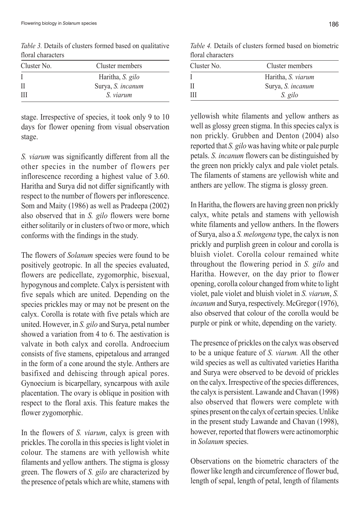Cluster No. Cluster members I Haritha, *S. gilo* II Surya, *S. incanum* III *S. viarum*

*Table 3.* Details of clusters formed based on qualitative floral characters

stage. Irrespective of species, it took only 9 to 10 days for flower opening from visual observation stage.

*S. viarum* was significantly different from all the other species in the number of flowers per inflorescence recording a highest value of 3.60. Haritha and Surya did not differ significantly with respect to the number of flowers per inflorescence. Som and Maity (1986) as well as Pradeepa (2002) also observed that in *S. gilo* flowers were borne either solitarily or in clusters of two or more, which conforms with the findings in the study.

The flowers of *Solanum* species were found to be positively geotropic. In all the species evaluated, flowers are pedicellate, zygomorphic, bisexual, hypogynous and complete. Calyx is persistent with five sepals which are united. Depending on the species prickles may or may not be present on the calyx. Corolla is rotate with five petals which are united. However, in *S. gilo* and Surya, petal number showed a variation from 4 to 6. The aestivation is valvate in both calyx and corolla. Androecium consists of five stamens, epipetalous and arranged in the form of a cone around the style. Anthers are basifixed and dehiscing through apical pores. Gynoecium is bicarpellary, syncarpous with axile placentation. The ovary is oblique in position with respect to the floral axis. This feature makes the flower zygomorphic.

In the flowers of *S. viarum*, calyx is green with prickles. The corolla in this species is light violet in colour. The stamens are with yellowish white filaments and yellow anthers. The stigma is glossy green. The flowers of *S. gilo* are characterized by the presence of petals which are white, stamens with

*Table 4.* Details of clusters formed based on biometric floral characters

| Cluster No. | Cluster members    |  |  |  |
|-------------|--------------------|--|--|--|
|             | Haritha, S. viarum |  |  |  |
| H           | Surya, S. incanum  |  |  |  |
| Ш           | S. gilo            |  |  |  |

yellowish white filaments and yellow anthers as well as glossy green stigma. In this species calyx is non prickly. Grubben and Denton (2004) also reported that *S. gilo* was having white or pale purple petals. *S. incanum* flowers can be distinguished by the green non prickly calyx and pale violet petals. The filaments of stamens are yellowish white and anthers are yellow. The stigma is glossy green.

In Haritha, the flowers are having green non prickly calyx, white petals and stamens with yellowish white filaments and yellow anthers. In the flowers of Surya, also a *S. melongena* type, the calyx is non prickly and purplish green in colour and corolla is bluish violet. Corolla colour remained white throughout the flowering period in *S. gilo* and Haritha. However, on the day prior to flower opening, corolla colour changed from white to light violet, pale violet and bluish violet in *S. viarum*, *S. incanum* and Surya, respectively. McGregor (1976), also observed that colour of the corolla would be purple or pink or white, depending on the variety.

The presence of prickles on the calyx was observed to be a unique feature of *S. viarum.* All the other wild species as well as cultivated varieties Haritha and Surya were observed to be devoid of prickles on the calyx. Irrespective of the species differences, the calyx is persistent. Lawande and Chavan (1998) also observed that flowers were complete with spines present on the calyx of certain species. Unlike in the present study Lawande and Chavan (1998), however, reported that flowers were actinomorphic in *Solanum* species.

Observations on the biometric characters of the flower like length and circumference of flower bud, length of sepal, length of petal, length of filaments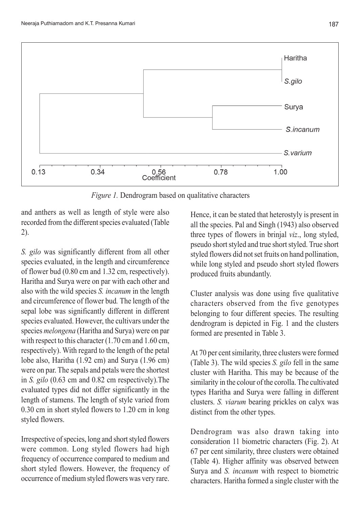



*Figure 1.* Dendrogram based on qualitative characters

and anthers as well as length of style were also recorded from the different species evaluated (Table 2).

*S. gilo* was significantly different from all other species evaluated, in the length and circumference of flower bud (0.80 cm and 1.32 cm, respectively). Haritha and Surya were on par with each other and also with the wild species *S. incanum* in the length and circumference of flower bud*.* The length of the sepal lobe was significantly different in different species evaluated. However, the cultivars under the species *melongena* (Haritha and Surya) were on par with respect to this character (1.70 cm and 1.60 cm, respectively). With regard to the length of the petal lobe also, Haritha (1.92 cm) and Surya (1.96 cm) were on par. The sepals and petals were the shortest in *S. gilo* (0.63 cm and 0.82 cm respectively).The evaluated types did not differ significantly in the length of stamens. The length of style varied from 0.30 cm in short styled flowers to 1.20 cm in long styled flowers.

Irrespective of species, long and short styled flowers were common. Long styled flowers had high frequency of occurrence compared to medium and short styled flowers. However, the frequency of occurrence of medium styled flowers was very rare.

Hence, it can be stated that heterostyly is present in all the species. Pal and Singh (1943) also observed three types of flowers in brinjal *viz*., long styled, pseudo short styled and true short styled. True short styled flowers did not set fruits on hand pollination, while long styled and pseudo short styled flowers produced fruits abundantly.

Cluster analysis was done using five qualitative characters observed from the five genotypes belonging to four different species. The resulting dendrogram is depicted in Fig. 1 and the clusters formed are presented in Table 3.

At 70 per cent similarity, three clusters were formed (Table 3). The wild species *S. gilo* fell in the same cluster with Haritha. This may be because of the similarity in the colour of the corolla. The cultivated types Haritha and Surya were falling in different clusters. *S. viarum* bearing prickles on calyx was distinct from the other types.

Dendrogram was also drawn taking into consideration 11 biometric characters (Fig. 2). At 67 per cent similarity, three clusters were obtained (Table 4). Higher affinity was observed between Surya and *S. incanum* with respect to biometric characters. Haritha formed a single cluster with the